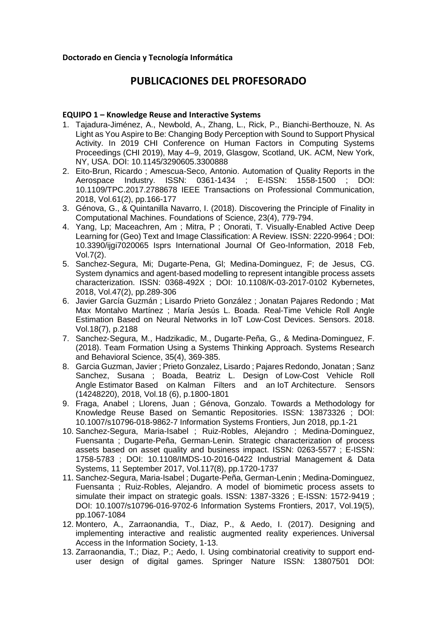# **PUBLICACIONES DEL PROFESORADO**

#### **EQUIPO 1 – Knowledge Reuse and Interactive Systems**

- 1. Tajadura-Jiménez, A., Newbold, A., Zhang, L., Rick, P., Bianchi-Berthouze, N. As Light as You Aspire to Be: Changing Body Perception with Sound to Support Physical Activity. In 2019 CHI Conference on Human Factors in Computing Systems Proceedings (CHI 2019), May 4–9, 2019, Glasgow, Scotland, UK. ACM, New York, NY, USA. DOI: 10.1145/3290605.3300888
- 2. Eito-Brun, Ricardo ; Amescua-Seco, Antonio. Automation of Quality Reports in the Aerospace Industry. ISSN: 0361-1434 ; E-ISSN: 1558-1500 ; DOI: 10.1109/TPC.2017.2788678 IEEE Transactions on Professional Communication, 2018, Vol.61(2), pp.166-177
- 3. Génova, G., & Quintanilla Navarro, I. (2018). Discovering the Principle of Finality in Computational Machines. Foundations of Science, 23(4), 779-794.
- 4. Yang, Lp; Maceachren, Am ; Mitra, P ; Onorati, T. Visually-Enabled Active Deep Learning for (Geo) Text and Image Classification: A Review. ISSN: 2220-9964 ; DOI: 10.3390/ijgi7020065 Isprs International Journal Of Geo-Information, 2018 Feb, Vol.7(2).
- 5. Sanchez-Segura, Mi; Dugarte-Pena, Gl; Medina-Dominguez, F; de Jesus, CG. System dynamics and agent-based modelling to represent intangible process assets characterization. ISSN: 0368-492X ; DOI: 10.1108/K-03-2017-0102 Kybernetes, 2018, Vol.47(2), pp.289-306
- 6. Javier García Guzmán ; Lisardo Prieto González ; Jonatan Pajares Redondo ; Mat Max Montalvo Martínez ; María Jesús L. Boada. [Real-Time Vehicle Roll Angle](https://bibliotecas.uc3m.es/primo-explore/fulldisplay?docid=TN_doaj_soai_doaj_org_article_46a574a70b3e4e48a4024ee1f9dac369&context=PC&vid=34UC3M_VU1&lang=es_ES&search_scope=TAB1_SCOPE1&adaptor=primo_central_multiple_fe&tab=tab1&query=any,contains,Real-Time%20Vehicle%20Roll%20Angle%20Estimation%20Based%20on%20Neural%20Networks%20in%20IoT%20Low-Cost%20Devices.%20%20SENSORS.&offset=0)  [Estimation Based on Neural Networks in IoT Low-Cost Devices.](https://bibliotecas.uc3m.es/primo-explore/fulldisplay?docid=TN_doaj_soai_doaj_org_article_46a574a70b3e4e48a4024ee1f9dac369&context=PC&vid=34UC3M_VU1&lang=es_ES&search_scope=TAB1_SCOPE1&adaptor=primo_central_multiple_fe&tab=tab1&query=any,contains,Real-Time%20Vehicle%20Roll%20Angle%20Estimation%20Based%20on%20Neural%20Networks%20in%20IoT%20Low-Cost%20Devices.%20%20SENSORS.&offset=0) Sensors. 2018. Vol.18(7), p.2188
- 7. Sanchez‐Segura, M., Hadzikadic, M., Dugarte‐Peña, G., & Medina‐Dominguez, F. (2018). Team Formation Using a Systems Thinking Approach. Systems Research and Behavioral Science, 35(4), 369-385.
- 8. Garcia Guzman, Javier ; Prieto Gonzalez, Lisardo ; Pajares Redondo, Jonatan ; Sanz Sanchez, Susana ; Boada, Beatriz L. Design of [Low-Cost Vehicle Roll](https://bibliotecas.uc3m.es/primo-explore/fulldisplay?docid=TN_asn_130339378&context=Ebsco&vid=34UC3M_VU1&lang=es_ES&search_scope=TAB1_SCOPE1&adaptor=EbscoLocal_34UC3M&tab=tab1&query=any,contains,Real-Time%20Vehicle%20Roll%20Angle%20Estimation%20Based%20on%20Neural%20Networks%20in%20IoT%20Low-Cost%20Devices.%20%20SENSORS.&offset=0)  Angle Estimator Based on [Kalman Filters and an](https://bibliotecas.uc3m.es/primo-explore/fulldisplay?docid=TN_asn_130339378&context=Ebsco&vid=34UC3M_VU1&lang=es_ES&search_scope=TAB1_SCOPE1&adaptor=EbscoLocal_34UC3M&tab=tab1&query=any,contains,Real-Time%20Vehicle%20Roll%20Angle%20Estimation%20Based%20on%20Neural%20Networks%20in%20IoT%20Low-Cost%20Devices.%20%20SENSORS.&offset=0) IoT Architecture. Sensors (14248220), 2018, Vol.18 (6), p.1800-1801
- 9. Fraga, Anabel ; Llorens, Juan ; Génova, Gonzalo. Towards a Methodology for Knowledge Reuse Based on Semantic Repositories. ISSN: 13873326 ; DOI: 10.1007/s10796-018-9862-7 Information Systems Frontiers, Jun 2018, pp.1-21
- 10. Sanchez-Segura, Maria-Isabel ; Ruiz-Robles, Alejandro ; Medina-Dominguez, Fuensanta ; Dugarte-Peña, German-Lenin. Strategic characterization of process assets based on asset quality and business impact. ISSN: 0263-5577 ; E-ISSN: 1758-5783 ; DOI: 10.1108/IMDS-10-2016-0422 Industrial Management & Data Systems, 11 September 2017, Vol.117(8), pp.1720-1737
- 11. Sanchez-Segura, Maria-Isabel ; Dugarte-Peña, German-Lenin ; Medina-Dominguez, Fuensanta ; Ruiz-Robles, Alejandro. A model of biomimetic process assets to simulate their impact on strategic goals. ISSN: 1387-3326 ; E-ISSN: 1572-9419 ; DOI: 10.1007/s10796-016-9702-6 Information Systems Frontiers, 2017, Vol.19(5), pp.1067-1084
- 12. Montero, A., Zarraonandia, T., Diaz, P., & Aedo, I. (2017). Designing and implementing interactive and realistic augmented reality experiences. Universal Access in the Information Society, 1-13.
- 13. Zarraonandia, T.; Diaz, P.; Aedo, I. Using combinatorial creativity to support enduser design of digital games. Springer Nature ISSN: 13807501 DOI: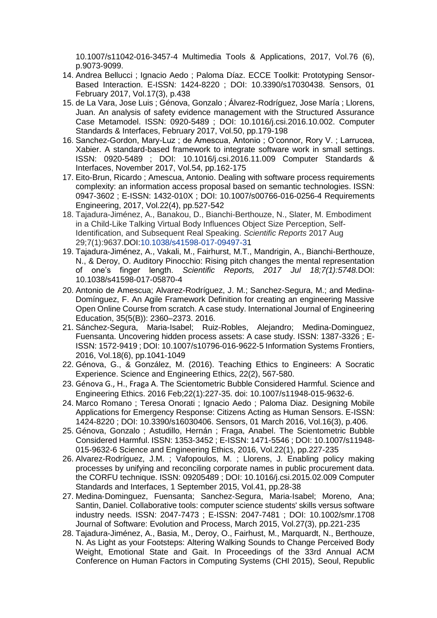10.1007/s11042-016-3457-4 Multimedia Tools & Applications, 2017, Vol.76 (6), p.9073-9099.

- 14. Andrea Bellucci ; Ignacio Aedo ; Paloma Díaz. ECCE Toolkit: Prototyping Sensor-Based Interaction. E-ISSN: 1424-8220 ; DOI: 10.3390/s17030438. Sensors, 01 February 2017, Vol.17(3), p.438
- 15. de La Vara, Jose Luis ; Génova, Gonzalo ; Álvarez-Rodríguez, Jose María ; Llorens, Juan. An analysis of safety evidence management with the Structured Assurance Case Metamodel. ISSN: 0920-5489 ; DOI: 10.1016/j.csi.2016.10.002. Computer Standards & Interfaces, February 2017, Vol.50, pp.179-198
- 16. Sanchez-Gordon, Mary-Luz ; de Amescua, Antonio ; O'connor, Rory V. ; Larrucea, Xabier. A standard-based framework to integrate software work in small settings. ISSN: 0920-5489 ; DOI: 10.1016/j.csi.2016.11.009 Computer Standards & Interfaces, November 2017, Vol.54, pp.162-175
- 17. Eito-Brun, Ricardo ; Amescua, Antonio. Dealing with software process requirements complexity: an information access proposal based on semantic technologies. ISSN: 0947-3602 ; E-ISSN: 1432-010X ; DOI: 10.1007/s00766-016-0256-4 Requirements Engineering, 2017, Vol.22(4), pp.527-542
- 18. Tajadura-Jiménez, A., Banakou, D., Bianchi-Berthouze, N., Slater, M. Embodiment in a Child-Like Talking Virtual Body Influences Object Size Perception, Self-Identification, and Subsequent Real Speaking. *Scientific Reports* 2017 Aug 29;7(1):9637.DOI[:10.1038/s41598-017-09497-31](https://doi.org/10.1038/s41598-017-09497-3)
- 19. Tajadura-Jiménez, A., Vakali, M., Fairhurst, M.T., Mandrigin, A., Bianchi-Berthouze, N., & Deroy, O. Auditory Pinocchio: Rising pitch changes the mental representation of one's finger length. *Scientific Reports, 2017 Jul 18;7(1):5748.*DOI: 10.1038/s41598-017-05870-4
- 20. Antonio de Amescua; Alvarez-Rodríguez, J. M.; Sanchez-Segura, M.; and Medina-Domínguez, F. An Agile Framework Definition for creating an engineering Massive Open Online Course from scratch. A case study. International Journal of Engineering Education, 35(5(B)): 2360–2373. 2016.
- 21. Sánchez-Segura, Maria-Isabel; Ruiz-Robles, Alejandro; Medina-Dominguez, Fuensanta. Uncovering hidden process assets: A case study. ISSN: 1387-3326 ; E-ISSN: 1572-9419 ; DOI: 10.1007/s10796-016-9622-5 Information Systems Frontiers, 2016, Vol.18(6), pp.1041-1049
- 22. Génova, G., & González, M. (2016). Teaching Ethics to Engineers: A Socratic Experience. Science and Engineering Ethics, 22(2), 567-580.
- 23. [Génova G](https://www.ncbi.nlm.nih.gov/pubmed/?term=G%C3%A9nova%20G%5BAuthor%5D&cauthor=true&cauthor_uid=25689931).[,](https://www.ncbi.nlm.nih.gov/pubmed/?term=Astudillo%20H%5BAuthor%5D&cauthor=true&cauthor_uid=25689931) H., [Fraga A](https://www.ncbi.nlm.nih.gov/pubmed/?term=Fraga%20A%5BAuthor%5D&cauthor=true&cauthor_uid=25689931). The Scientometric Bubble Considered Harmful. Science and Engineering Ethics. 2016 Feb;22(1):227-35. doi: 10.1007/s11948-015-9632-6.
- 24. Marco Romano ; Teresa Onorati ; Ignacio Aedo ; Paloma Diaz. Designing Mobile Applications for Emergency Response: Citizens Acting as Human Sensors. E-ISSN: 1424-8220 ; DOI: 10.3390/s16030406. Sensors, 01 March 2016, Vol.16(3), p.406.
- 25. Génova, Gonzalo ; Astudillo, Hernán ; Fraga, Anabel. The Scientometric Bubble Considered Harmful. ISSN: 1353-3452 ; E-ISSN: 1471-5546 ; DOI: 10.1007/s11948- 015-9632-6 Science and Engineering Ethics, 2016, Vol.22(1), pp.227-235
- 26. Alvarez-Rodríguez, J.M. ; Vafopoulos, M. ; Llorens, J. Enabling policy making processes by unifying and reconciling corporate names in public procurement data. the CORFU technique. ISSN: 09205489 ; DOI: 10.1016/j.csi.2015.02.009 Computer Standards and Interfaces, 1 September 2015, Vol.41, pp.28-38
- 27. Medina‐Dominguez, Fuensanta; Sanchez‐Segura, Maria‐Isabel; Moreno, Ana; Santin, Daniel. Collaborative tools: computer science students' skills versus software industry needs. ISSN: 2047-7473 ; E-ISSN: 2047-7481 ; DOI: 10.1002/smr.1708 Journal of Software: Evolution and Process, March 2015, Vol.27(3), pp.221-235
- 28. Tajadura-Jiménez, A., Basia, M., Deroy, O., Fairhust, M., Marquardt, N., Berthouze, N. As Light as your Footsteps: Altering Walking Sounds to Change Perceived Body Weight, Emotional State and Gait. In Proceedings of the 33rd Annual ACM Conference on Human Factors in Computing Systems (CHI 2015), Seoul, Republic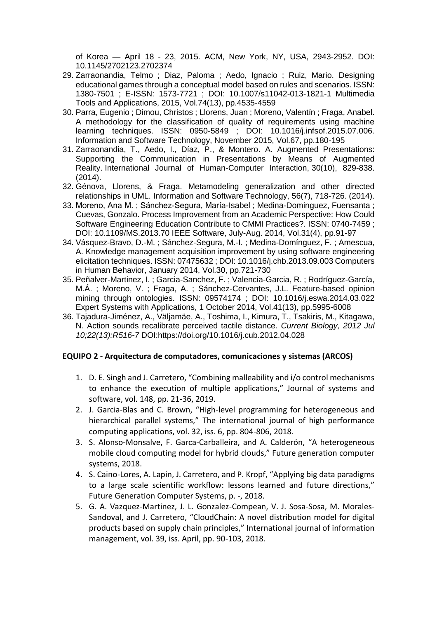of Korea — April 18 - 23, 2015. ACM, New York, NY, USA, 2943-2952. DOI: 10.1145/2702123.2702374

- 29. Zarraonandia, Telmo ; Diaz, Paloma ; Aedo, Ignacio ; Ruiz, Mario. Designing educational games through a conceptual model based on rules and scenarios. ISSN: 1380-7501 ; E-ISSN: 1573-7721 ; DOI: 10.1007/s11042-013-1821-1 Multimedia Tools and Applications, 2015, Vol.74(13), pp.4535-4559
- 30. Parra, Eugenio ; Dimou, Christos ; Llorens, Juan ; Moreno, Valentín ; Fraga, Anabel. A methodology for the classification of quality of requirements using machine learning techniques. ISSN: 0950-5849 ; DOI: 10.1016/j.infsof.2015.07.006. Information and Software Technology, November 2015, Vol.67, pp.180-195
- 31. Zarraonandia, T., Aedo, I., Díaz, P., & Montero. A. Augmented Presentations: Supporting the Communication in Presentations by Means of Augmented Reality. International Journal of Human-Computer Interaction, 30(10), 829-838. (2014).
- 32. Génova, Llorens, & Fraga. Metamodeling generalization and other directed relationships in UML. Information and Software Technology, 56(7), 718-726. (2014).
- 33. Moreno, Ana M. ; Sánchez-Segura, María-Isabel ; Medina-Dominguez, Fuensanta ; Cuevas, Gonzalo. Process Improvement from an Academic Perspective: How Could Software Engineering Education Contribute to CMMI Practices?. ISSN: 0740-7459 ; DOI: 10.1109/MS.2013.70 IEEE Software, July-Aug. 2014, Vol.31(4), pp.91-97
- 34. Vásquez-Bravo, D.-M. ; Sánchez-Segura, M.-I. ; Medina-Domínguez, F. ; Amescua, A. Knowledge management acquisition improvement by using software engineering elicitation techniques. ISSN: 07475632 ; DOI: 10.1016/j.chb.2013.09.003 Computers in Human Behavior, January 2014, Vol.30, pp.721-730
- 35. Peñalver-Martinez, I. ; Garcia-Sanchez, F. ; Valencia-Garcia, R. ; Rodríguez-García, M.Á. ; Moreno, V. ; Fraga, A. ; Sánchez-Cervantes, J.L. Feature-based opinion mining through ontologies. ISSN: 09574174 ; DOI: 10.1016/j.eswa.2014.03.022 Expert Systems with Applications, 1 October 2014, Vol.41(13), pp.5995-6008
- 36. Tajadura-Jiménez, A., Väljamäe, A., Toshima, I., Kimura, T., Tsakiris, M., Kitagawa, N. Action sounds recalibrate perceived tactile distance. *Current Biology, 2012 Jul 10;22(13):R516-7* DOI:https://doi.org/10.1016/j.cub.2012.04.028

#### **EQUIPO 2 - Arquitectura de computadores, comunicaciones y sistemas (ARCOS)**

- 1. D. E. Singh and J. Carretero, "Combining malleability and i/o control mechanisms to enhance the execution of multiple applications," Journal of systems and software, vol. 148, pp. 21-36, 2019.
- 2. J. Garcia-Blas and C. Brown, "High-level programming for heterogeneous and hierarchical parallel systems," The international journal of high performance computing applications, vol. 32, iss. 6, pp. 804-806, 2018.
- 3. S. Alonso-Monsalve, F. Garca-Carballeira, and A. Calderón, "A heterogeneous mobile cloud computing model for hybrid clouds," Future generation computer systems, 2018.
- 4. S. Caino-Lores, A. Lapin, J. Carretero, and P. Kropf, "Applying big data paradigms to a large scale scientific workflow: lessons learned and future directions," Future Generation Computer Systems, p. -, 2018.
- 5. G. A. Vazquez-Martinez, J. L. Gonzalez-Compean, V. J. Sosa-Sosa, M. Morales-Sandoval, and J. Carretero, "CloudChain: A novel distribution model for digital products based on supply chain principles," International journal of information management, vol. 39, iss. April, pp. 90-103, 2018.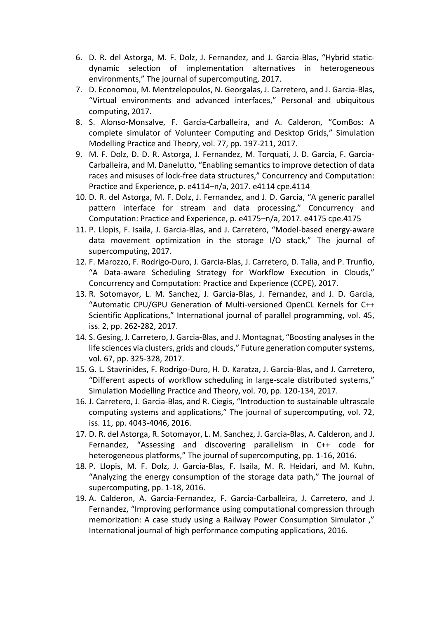- 6. D. R. del Astorga, M. F. Dolz, J. Fernandez, and J. Garcia-Blas, "Hybrid staticdynamic selection of implementation alternatives in heterogeneous environments," The journal of supercomputing, 2017.
- 7. D. Economou, M. Mentzelopoulos, N. Georgalas, J. Carretero, and J. Garcia-Blas, "Virtual environments and advanced interfaces," Personal and ubiquitous computing, 2017.
- 8. S. Alonso-Monsalve, F. Garcia-Carballeira, and A. Calderon, "ComBos: A complete simulator of Volunteer Computing and Desktop Grids," Simulation Modelling Practice and Theory, vol. 77, pp. 197-211, 2017.
- 9. M. F. Dolz, D. D. R. Astorga, J. Fernandez, M. Torquati, J. D. Garcia, F. Garcia-Carballeira, and M. Danelutto, "Enabling semantics to improve detection of data races and misuses of lock-free data structures," Concurrency and Computation: Practice and Experience, p. e4114–n/a, 2017. e4114 cpe.4114
- 10. D. R. del Astorga, M. F. Dolz, J. Fernandez, and J. D. Garcia, "A generic parallel pattern interface for stream and data processing," Concurrency and Computation: Practice and Experience, p. e4175–n/a, 2017. e4175 cpe.4175
- 11. P. Llopis, F. Isaila, J. Garcia-Blas, and J. Carretero, "Model-based energy-aware data movement optimization in the storage I/O stack," The journal of supercomputing, 2017.
- 12. F. Marozzo, F. Rodrigo-Duro, J. Garcia-Blas, J. Carretero, D. Talia, and P. Trunfio, "A Data-aware Scheduling Strategy for Workflow Execution in Clouds," Concurrency and Computation: Practice and Experience (CCPE), 2017.
- 13. R. Sotomayor, L. M. Sanchez, J. Garcia-Blas, J. Fernandez, and J. D. Garcia, "Automatic CPU/GPU Generation of Multi-versioned OpenCL Kernels for C++ Scientific Applications," International journal of parallel programming, vol. 45, iss. 2, pp. 262-282, 2017.
- 14. S. Gesing, J. Carretero, J. Garcia-Blas, and J. Montagnat, "Boosting analyses in the life sciences via clusters, grids and clouds," Future generation computer systems, vol. 67, pp. 325-328, 2017.
- 15. G. L. Stavrinides, F. Rodrigo-Duro, H. D. Karatza, J. Garcia-Blas, and J. Carretero, "Different aspects of workflow scheduling in large-scale distributed systems," Simulation Modelling Practice and Theory, vol. 70, pp. 120-134, 2017.
- 16. J. Carretero, J. Garcia-Blas, and R. Ciegis, "Introduction to sustainable ultrascale computing systems and applications," The journal of supercomputing, vol. 72, iss. 11, pp. 4043-4046, 2016.
- 17. D. R. del Astorga, R. Sotomayor, L. M. Sanchez, J. Garcia-Blas, A. Calderon, and J. Fernandez, "Assessing and discovering parallelism in C++ code for heterogeneous platforms," The journal of supercomputing, pp. 1-16, 2016.
- 18. P. Llopis, M. F. Dolz, J. Garcia-Blas, F. Isaila, M. R. Heidari, and M. Kuhn, "Analyzing the energy consumption of the storage data path," The journal of supercomputing, pp. 1-18, 2016.
- 19. A. Calderon, A. Garcia-Fernandez, F. Garcia-Carballeira, J. Carretero, and J. Fernandez, "Improving performance using computational compression through memorization: A case study using a Railway Power Consumption Simulator ," International journal of high performance computing applications, 2016.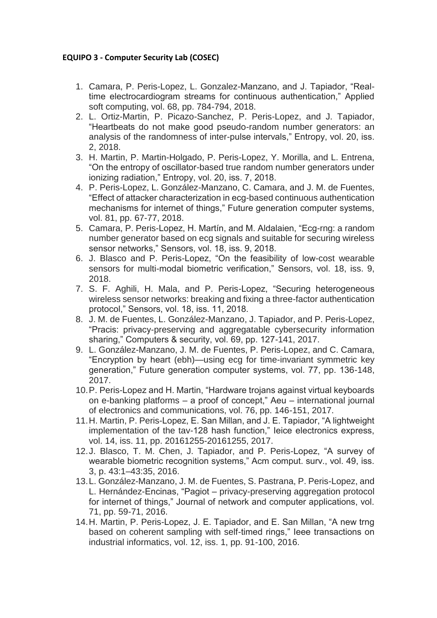## **EQUIPO 3 - Computer Security Lab (COSEC)**

- 1. Camara, P. Peris-Lopez, L. Gonzalez-Manzano, and J. Tapiador, "Realtime electrocardiogram streams for continuous authentication," Applied soft computing, vol. 68, pp. 784-794, 2018.
- 2. L. Ortiz-Martin, P. Picazo-Sanchez, P. Peris-Lopez, and J. Tapiador, "Heartbeats do not make good pseudo-random number generators: an analysis of the randomness of inter-pulse intervals," Entropy, vol. 20, iss. 2, 2018.
- 3. H. Martin, P. Martin-Holgado, P. Peris-Lopez, Y. Morilla, and L. Entrena, "On the entropy of oscillator-based true random number generators under ionizing radiation," Entropy, vol. 20, iss. 7, 2018.
- 4. P. Peris-Lopez, L. González-Manzano, C. Camara, and J. M. de Fuentes, "Effect of attacker characterization in ecg-based continuous authentication mechanisms for internet of things," Future generation computer systems, vol. 81, pp. 67-77, 2018.
- 5. Camara, P. Peris-Lopez, H. Martín, and M. Aldalaien, "Ecg-rng: a random number generator based on ecg signals and suitable for securing wireless sensor networks," Sensors, vol. 18, iss. 9, 2018.
- 6. J. Blasco and P. Peris-Lopez, "On the feasibility of low-cost wearable sensors for multi-modal biometric verification," Sensors, vol. 18, iss. 9, 2018.
- 7. S. F. Aghili, H. Mala, and P. Peris-Lopez, "Securing heterogeneous wireless sensor networks: breaking and fixing a three-factor authentication protocol," Sensors, vol. 18, iss. 11, 2018.
- 8. J. M. de Fuentes, L. González-Manzano, J. Tapiador, and P. Peris-Lopez, "Pracis: privacy-preserving and aggregatable cybersecurity information sharing," Computers & security, vol. 69, pp. 127-141, 2017.
- 9. L. González-Manzano, J. M. de Fuentes, P. Peris-Lopez, and C. Camara, "Encryption by heart (ebh)—using ecg for time-invariant symmetric key generation," Future generation computer systems, vol. 77, pp. 136-148, 2017.
- 10.P. Peris-Lopez and H. Martin, "Hardware trojans against virtual keyboards on e-banking platforms – a proof of concept," Aeu – international journal of electronics and communications, vol. 76, pp. 146-151, 2017.
- 11.H. Martin, P. Peris-Lopez, E. San Millan, and J. E. Tapiador, "A lightweight implementation of the tav-128 hash function," Ieice electronics express, vol. 14, iss. 11, pp. 20161255-20161255, 2017.
- 12.J. Blasco, T. M. Chen, J. Tapiador, and P. Peris-Lopez, "A survey of wearable biometric recognition systems," Acm comput. surv., vol. 49, iss. 3, p. 43:1–43:35, 2016.
- 13.L. González-Manzano, J. M. de Fuentes, S. Pastrana, P. Peris-Lopez, and L. Hernández-Encinas, "Pagiot – privacy-preserving aggregation protocol for internet of things," Journal of network and computer applications, vol. 71, pp. 59-71, 2016.
- 14.H. Martin, P. Peris-Lopez, J. E. Tapiador, and E. San Millan, "A new trng based on coherent sampling with self-timed rings," Ieee transactions on industrial informatics, vol. 12, iss. 1, pp. 91-100, 2016.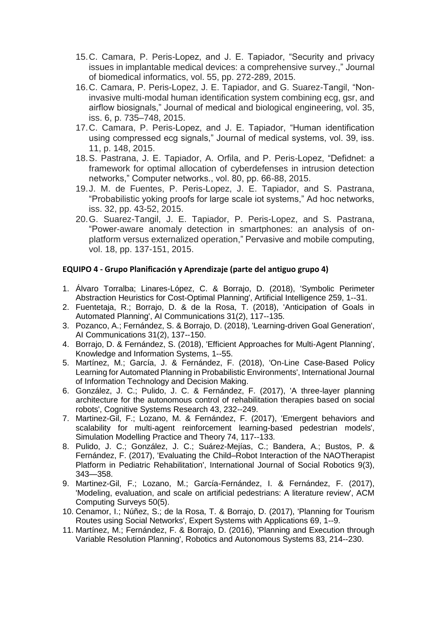- 15.C. Camara, P. Peris-Lopez, and J. E. Tapiador, "Security and privacy issues in implantable medical devices: a comprehensive survey.," Journal of biomedical informatics, vol. 55, pp. 272-289, 2015.
- 16.C. Camara, P. Peris-Lopez, J. E. Tapiador, and G. Suarez-Tangil, "Noninvasive multi-modal human identification system combining ecg, gsr, and airflow biosignals," Journal of medical and biological engineering, vol. 35, iss. 6, p. 735–748, 2015.
- 17.C. Camara, P. Peris-Lopez, and J. E. Tapiador, "Human identification using compressed ecg signals," Journal of medical systems, vol. 39, iss. 11, p. 148, 2015.
- 18.S. Pastrana, J. E. Tapiador, A. Orfila, and P. Peris-Lopez, "Defidnet: a framework for optimal allocation of cyberdefenses in intrusion detection networks," Computer networks., vol. 80, pp. 66-88, 2015.
- 19.J. M. de Fuentes, P. Peris-Lopez, J. E. Tapiador, and S. Pastrana, "Probabilistic yoking proofs for large scale iot systems," Ad hoc networks, iss. 32, pp. 43-52, 2015.
- 20.G. Suarez-Tangil, J. E. Tapiador, P. Peris-Lopez, and S. Pastrana, "Power-aware anomaly detection in smartphones: an analysis of onplatform versus externalized operation," Pervasive and mobile computing, vol. 18, pp. 137-151, 2015.

## **EQUIPO 4 - Grupo Planificación y Aprendizaje (parte del antiguo grupo 4)**

- 1. Álvaro Torralba; Linares-López, C. & Borrajo, D. (2018), 'Symbolic Perimeter Abstraction Heuristics for Cost-Optimal Planning', Artificial Intelligence 259, 1--31.
- 2. Fuentetaja, R.; Borrajo, D. & de la Rosa, T. (2018), 'Anticipation of Goals in Automated Planning', AI Communications 31(2), 117--135.
- 3. Pozanco, A.; Fernández, S. & Borrajo, D. (2018), 'Learning-driven Goal Generation', AI Communications 31(2), 137--150.
- 4. Borrajo, D. & Fernández, S. (2018), 'Efficient Approaches for Multi-Agent Planning', Knowledge and Information Systems, 1--55.
- 5. Martínez, M.; García, J. & Fernández, F. (2018), 'On-Line Case-Based Policy Learning for Automated Planning in Probabilistic Environments', International Journal of Information Technology and Decision Making.
- 6. González, J. C.; Pulido, J. C. & Fernández, F. (2017), 'A three-layer planning architecture for the autonomous control of rehabilitation therapies based on social robots', Cognitive Systems Research 43, 232--249.
- 7. Martinez-Gil, F.; Lozano, M. & Fernández, F. (2017), 'Emergent behaviors and scalability for multi-agent reinforcement learning-based pedestrian models', Simulation Modelling Practice and Theory 74, 117--133.
- 8. Pulido, J. C.; González, J. C.; Suárez-Mejías, C.; Bandera, A.; Bustos, P. & Fernández, F. (2017), 'Evaluating the Child–Robot Interaction of the NAOTherapist Platform in Pediatric Rehabilitation', International Journal of Social Robotics 9(3), 343—358.
- 9. Martinez-Gil, F.; Lozano, M.; García-Fernández, I. & Fernández, F. (2017), 'Modeling, evaluation, and scale on artificial pedestrians: A literature review', ACM Computing Surveys 50(5).
- 10. Cenamor, I.; Núñez, S.; de la Rosa, T. & Borrajo, D. (2017), 'Planning for Tourism Routes using Social Networks', Expert Systems with Applications 69, 1--9.
- 11. Martínez, M.; Fernández, F. & Borrajo, D. (2016), 'Planning and Execution through Variable Resolution Planning', Robotics and Autonomous Systems 83, 214--230.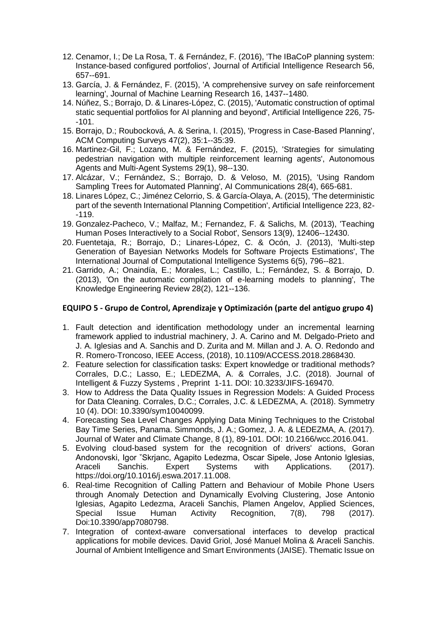- 12. Cenamor, I.; De La Rosa, T. & Fernández, F. (2016), 'The IBaCoP planning system: Instance-based configured portfolios', Journal of Artificial Intelligence Research 56, 657--691.
- 13. García, J. & Fernández, F. (2015), 'A comprehensive survey on safe reinforcement learning', Journal of Machine Learning Research 16, 1437--1480.
- 14. Núñez, S.; Borrajo, D. & Linares-López, C. (2015), 'Automatic construction of optimal static sequential portfolios for AI planning and beyond', Artificial Intelligence 226, 75- -101.
- 15. Borrajo, D.; Roubocková, A. & Serina, I. (2015), 'Progress in Case-Based Planning', ACM Computing Surveys 47(2), 35:1--35:39.
- 16. Martinez-Gil, F.; Lozano, M. & Fernández, F. (2015), 'Strategies for simulating pedestrian navigation with multiple reinforcement learning agents', Autonomous Agents and Multi-Agent Systems 29(1), 98--130.
- 17. Alcázar, V.; Fernández, S.; Borrajo, D. & Veloso, M. (2015), 'Using Random Sampling Trees for Automated Planning', AI Communications 28(4), 665-681.
- 18. Linares López, C.; Jiménez Celorrio, S. & García-Olaya, A. (2015), 'The deterministic part of the seventh International Planning Competition', Artificial Intelligence 223, 82- -119.
- 19. Gonzalez-Pacheco, V.; Malfaz, M.; Fernandez, F. & Salichs, M. (2013), 'Teaching Human Poses Interactively to a Social Robot', Sensors 13(9), 12406--12430.
- 20. Fuentetaja, R.; Borrajo, D.; Linares-López, C. & Ocón, J. (2013), 'Multi-step Generation of Bayesian Networks Models for Software Projects Estimations', The International Journal of Computational Intelligence Systems 6(5), 796--821.
- 21. Garrido, A.; Onaindía, E.; Morales, L.; Castillo, L.; Fernández, S. & Borrajo, D. (2013), 'On the automatic compilation of e-learning models to planning', The Knowledge Engineering Review 28(2), 121--136.

#### **EQUIPO 5 - Grupo de Control, Aprendizaje y Optimización (parte del antiguo grupo 4)**

- 1. Fault detection and identification methodology under an incremental learning framework applied to industrial machinery, J. A. Carino and M. Delgado-Prieto and J. A. Iglesias and A. Sanchis and D. Zurita and M. Millan and J. A. O. Redondo and R. Romero-Troncoso, IEEE Access, (2018), 10.1109/ACCESS.2018.2868430.
- 2. Feature selection for classification tasks: Expert knowledge or traditional methods? Corrales, D.C.; Lasso, E.; LEDEZMA, A. & Corrales, J.C. (2018). Journal of Intelligent & Fuzzy Systems , Preprint 1-11. DOI: 10.3233/JIFS-169470.
- 3. How to Address the Data Quality Issues in Regression Models: A Guided Process for Data Cleaning. Corrales, D.C.; Corrales, J.C. & LEDEZMA, A. (2018). Symmetry 10 (4). DOI: 10.3390/sym10040099.
- 4. Forecasting Sea Level Changes Applying Data Mining Techniques to the Cristobal Bay Time Series, Panama. Simmonds, J. A.; Gomez, J. A. & LEDEZMA, A. (2017). Journal of Water and Climate Change, 8 (1), 89-101. DOI: 10.2166/wcc.2016.041.
- 5. Evolving cloud-based system for the recognition of drivers' actions, Goran Andonovski, Igor ˇSkrjanc, Agapito Ledezma, Oscar Sipele, Jose Antonio Iglesias, Araceli Sanchis. Expert Systems with Applications. (2017). https://doi.org/10.1016/j.eswa.2017.11.008.
- 6. Real-time Recognition of Calling Pattern and Behaviour of Mobile Phone Users through Anomaly Detection and Dynamically Evolving Clustering, Jose Antonio Iglesias, Agapito Ledezma, Araceli Sanchis, Plamen Angelov, Applied Sciences, Special Issue Human Activity Recognition, 7(8), 798 (2017). Doi:10.3390/app7080798.
- 7. Integration of context-aware conversational interfaces to develop practical applications for mobile devices. David Griol, José Manuel Molina & Araceli Sanchis. Journal of Ambient Intelligence and Smart Environments (JAISE). Thematic Issue on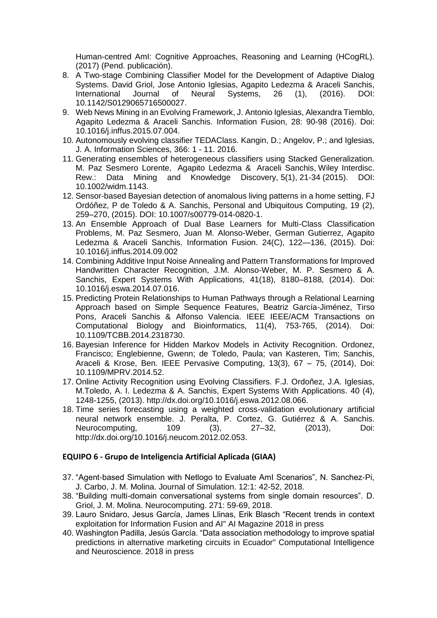Human-centred AmI: Cognitive Approaches, Reasoning and Learning (HCogRL). (2017) (Pend. publicación).

- 8. A Two-stage Combining Classifier Model for the Development of Adaptive Dialog Systems. David Griol, Jose Antonio Iglesias, Agapito Ledezma & Araceli Sanchis, International Journal of Neural Systems, 26 (1), (2016). DOI: 10.1142/S0129065716500027.
- 9. Web News Mining in an Evolving Framework, J. Antonio Iglesias, Alexandra Tiemblo, Agapito Ledezma & Araceli Sanchis. Information Fusion, 28: 90-98 (2016). Doi: 10.1016/j.inffus.2015.07.004.
- 10. Autonomously evolving classifier TEDAClass. Kangin, D.; Angelov, P.; and Iglesias, J. A. Information Sciences, 366: 1 - 11. 2016.
- 11. Generating ensembles of heterogeneous classifiers using Stacked Generalization. M. Paz Sesmero Lorente, Agapito Ledezma & Araceli Sanchis, Wiley Interdisc. Rew.: Data Mining and Knowledge Discovery, 5(1), 21-34 (2015). DOI: 10.1002/widm.1143.
- 12. Sensor-based Bayesian detection of anomalous living patterns in a home setting, FJ Ordóñez, P de Toledo & A. Sanchis, Personal and Ubiquitous Computing, 19 (2), 259–270, (2015). DOI: 10.1007/s00779-014-0820-1.
- 13. An Ensemble Approach of Dual Base Learners for Multi-Class Classification Problems, M. Paz Sesmero, Juan M. Alonso-Weber, German Gutierrez, Agapito Ledezma & Araceli Sanchis. Information Fusion. 24(C), 122—136, (2015). Doi: 10.1016/j.inffus.2014.09.002
- 14. Combining Additive Input Noise Annealing and Pattern Transformations for Improved Handwritten Character Recognition, J.M. Alonso-Weber, M. P. Sesmero & A. Sanchis, Expert Systems With Applications, 41(18), 8180–8188, (2014). Doi: 10.1016/j.eswa.2014.07.016.
- 15. Predicting Protein Relationships to Human Pathways through a Relational Learning Approach based on Simple Sequence Features, Beatriz García-Jiménez, Tirso Pons, Araceli Sanchis & Alfonso Valencia. IEEE IEEE/ACM Transactions on Computational Biology and Bioinformatics, 11(4), 753-765, (2014). Doi: 10.1109/TCBB.2014.2318730.
- 16. Bayesian Inference for Hidden Markov Models in Activity Recognition. Ordonez, Francisco; Englebienne, Gwenn; de Toledo, Paula; van Kasteren, Tim; Sanchis, Araceli & Krose, Ben. IEEE Pervasive Computing, 13(3), 67 – 75, (2014), Doi: 10.1109/MPRV.2014.52.
- 17. Online Activity Recognition using Evolving Classifiers. F.J. Ordoñez, J.A. Iglesias, M.Toledo, A. I. Ledezma & A. Sanchis, Expert Systems With Applications. 40 (4), 1248-1255, (2013). http://dx.doi.org/10.1016/j.eswa.2012.08.066.
- 18. Time series forecasting using a weighted cross-validation evolutionary artificial neural network ensemble. J. Peralta, P. Cortez, G. Gutiérrez & A. Sanchis. Neurocomputing, 109 (3), 27–32, (2013), Doi: http://dx.doi.org/10.1016/j.neucom.2012.02.053.

#### **EQUIPO 6 - Grupo de Inteligencia Artificial Aplicada (GIAA)**

- 37. "Agent-based Simulation with Netlogo to Evaluate AmI Scenarios", N. Sanchez-Pi, J. Carbo, J. M. Molina. Journal of Simulation. 12:1: 42-52, 2018.
- 38. "Building multi-domain conversational systems from single domain resources". D. Griol, J. M. Molina. Neurocomputing. 271: 59-69, 2018.
- 39. Lauro Snidaro, Jesus García, James Llinas, Erik Blasch "Recent trends in context exploitation for Information Fusion and AI" AI Magazine 2018 in press
- 40. Washington Padilla, Jesús García. "Data association methodology to improve spatial predictions in alternative marketing circuits in Ecuador" Computational Intelligence and Neuroscience. 2018 in press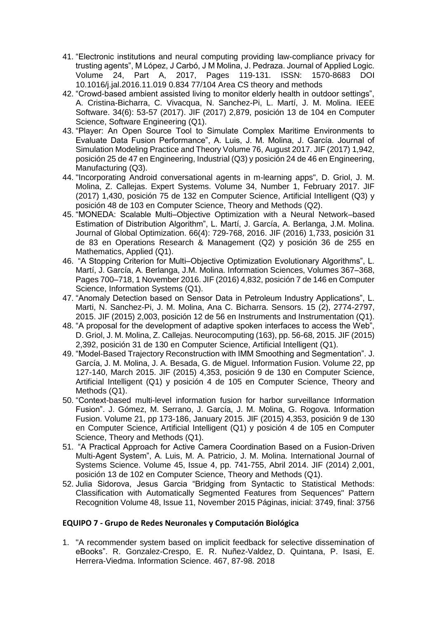- 41. "Electronic institutions and neural computing providing law-compliance privacy for trusting agents", M López, J Carbó, J M Molina, J. Pedraza. Journal of Applied Logic. Volume 24, Part A, 2017, Pages 119-131. ISSN: 1570-8683 DOI 10.1016/j.jal.2016.11.019 0.834 77/104 Area CS theory and methods
- 42. "Crowd-based ambient assisted living to monitor elderly health in outdoor settings", A. Cristina-Bicharra, C. Vivacqua, N. Sanchez-Pi, L. Martí, J. M. Molina. IEEE Software. 34(6): 53-57 (2017). JIF (2017) 2,879, posición 13 de 104 en Computer Science, Software Engineering (Q1).
- 43. "Player: An Open Source Tool to Simulate Complex Maritime Environments to Evaluate Data Fusion Performance", A. Luis, J. M. Molina, J. García. Journal of Simulation Modeling Practice and Theory Volume 76, August 2017. JIF (2017) 1,942, posición 25 de 47 en Engineering, Industrial (Q3) y posición 24 de 46 en Engineering, Manufacturing (Q3).
- 44. "Incorporating Android conversational agents in m-learning apps", D. Griol, J. M. Molina, Z. Callejas. Expert Systems. Volume 34, Number 1, February 2017. JIF (2017) 1,430, posición 75 de 132 en Computer Science, Artificial Intelligent (Q3) y posición 48 de 103 en Computer Science, Theory and Methods (Q2).
- 45. "MONEDA: Scalable Multi–Objective Optimization with a Neural Network–based Estimation of Distribution Algorithm", L. Martí, J. García, A. Berlanga, J.M. Molina. Journal of Global Optimization. 66(4): 729-768, 2016. JIF (2016) 1,733, posición 31 de 83 en Operations Research & Management (Q2) y posición 36 de 255 en Mathematics, Applied (Q1).
- 46. "A Stopping Criterion for Multi–Objective Optimization Evolutionary Algorithms", L. Martí, J. García, A. Berlanga, J.M. Molina. Information Sciences, Volumes 367–368, Pages 700–718, 1 November 2016. JIF (2016) 4,832, posición 7 de 146 en Computer Science, Information Systems (Q1).
- 47. "Anomaly Detection based on Sensor Data in Petroleum Industry Applications", L. Marti, N. Sanchez-Pi, J. M. Molina, Ana C. Bicharra. Sensors. 15 (2), 2774-2797, 2015. JIF (2015) 2,003, posición 12 de 56 en Instruments and Instrumentation (Q1).
- 48. "A proposal for the development of adaptive spoken interfaces to access the Web", D. Griol, J. M. Molina, Z. Callejas. Neurocomputing (163), pp. 56-68, 2015. JIF (2015) 2,392, posición 31 de 130 en Computer Science, Artificial Intelligent (Q1).
- 49. "Model-Based Trajectory Reconstruction with IMM Smoothing and Segmentation". J. García, J. M. Molina, J. A. Besada, G. de Miguel. Information Fusion. Volume 22, pp 127-140, March 2015. JIF (2015) 4,353, posición 9 de 130 en Computer Science, Artificial Intelligent (Q1) y posición 4 de 105 en Computer Science, Theory and Methods (Q1).
- 50. "Context-based multi-level information fusion for harbor surveillance Information Fusion". J. Gómez, M. Serrano, J. García, J. M. Molina, G. Rogova. Information Fusion. Volume 21, pp 173-186, January 2015. JIF (2015) 4,353, posición 9 de 130 en Computer Science, Artificial Intelligent (Q1) y posición 4 de 105 en Computer Science, Theory and Methods (Q1).
- 51. "A Practical Approach for Active Camera Coordination Based on a Fusion-Driven Multi-Agent System", A. Luis, M. A. Patricio, J. M. Molina. International Journal of Systems Science. Volume 45, Issue 4, pp. 741-755, Abril 2014. JIF (2014) 2,001, posición 13 de 102 en Computer Science, Theory and Methods (Q1).
- 52. Julia Sidorova, Jesus Garcia "Bridging from Syntactic to Statistical Methods: Classification with Automatically Segmented Features from Sequences" Pattern Recognition Volume 48, Issue 11, November 2015 Páginas, inicial: 3749, final: 3756

#### **EQUIPO 7 - Grupo de Redes Neuronales y Computación Biológica**

1. "A recommender system based on implicit feedback for selective dissemination of eBooks". R. Gonzalez-Crespo, E. R. Nuñez-Valdez, D. Quintana, P. Isasi, E. Herrera-Viedma. Information Science. 467, 87-98. 2018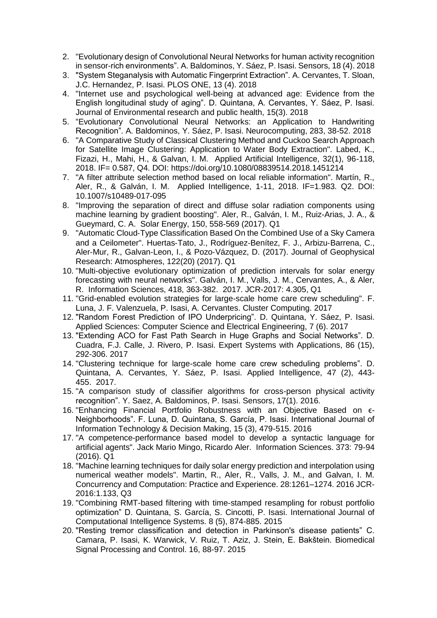- 2. "Evolutionary design of Convolutional Neural Networks for human activity recognition in sensor-rich environments". A. Baldominos, Y. Sáez, P. Isasi. Sensors, 18 (4). 2018
- 3. "System Steganalysis with Automatic Fingerprint Extraction". A. Cervantes, T. Sloan, J.C. Hernandez, P. Isasi. PLOS ONE, 13 (4). 2018
- 4. "Internet use and psychological well-being at advanced age: Evidence from the English longitudinal study of aging". D. Quintana, A. Cervantes, Y. Sáez, P. Isasi. Journal of Environmental research and public health, 15(3). 2018
- 5. "Evolutionary Convolutional Neural Networks: an Application to Handwriting Recognition". A. Baldominos, Y. Sáez, P. Isasi. Neurocomputing, 283, 38-52. 2018
- 6. "A Comparative Study of Classical Clustering Method and Cuckoo Search Approach for Satellite Image Clustering: Application to Water Body Extraction". Labed, K., Fizazi, H., Mahi, H., & Galvan, I. M. Applied Artificial Intelligence, 32(1), 96-118, 2018. IF= 0.587, Q4. DOI: https://doi.org/10.1080/08839514.2018.1451214
- 7. "A filter attribute selection method based on local reliable information". Martín, R., Aler, R., & Galván, I. M. Applied Intelligence, 1-11, 2018. IF=1.983. Q2. DOI: 10.1007/s10489-017-095
- 8. "Improving the separation of direct and diffuse solar radiation components using machine learning by gradient boosting". Aler, R., Galván, I. M., Ruiz-Arias, J. A., & Gueymard, C. A. Solar Energy, 150, 558-569 (2017). Q1
- 9. "Automatic Cloud‐Type Classification Based On the Combined Use of a Sky Camera and a Ceilometer". Huertas‐Tato, J., Rodríguez‐Benítez, F. J., Arbizu‐Barrena, C., Aler‐Mur, R., Galvan‐Leon, I., & Pozo‐Vázquez, D. (2017). Journal of Geophysical Research: Atmospheres, 122(20) (2017). Q1
- 10. "Multi-objective evolutionary optimization of prediction intervals for solar energy forecasting with neural networks". Galván, I. M., Valls, J. M., Cervantes, A., & Aler, R. Information Sciences, 418, 363-382. 2017. JCR-2017: 4.305, Q1
- 11. "Grid-enabled evolution strategies for large-scale home care crew scheduling". F. Luna, J. F. Valenzuela, P. Isasi, A. Cervantes. Cluster Computing. 2017
- 12. "Random Forest Prediction of IPO Underpricing". D. Quintana, Y. Sáez, P. Isasi. Applied Sciences: Computer Science and Electrical Engineering, 7 (6). 2017
- 13. "Extending ACO for Fast Path Search in Huge Graphs and Social Networks". D. Cuadra, F.J. Calle, J. Rivero, P. Isasi. Expert Systems with Applications, 86 (15), 292-306. 2017
- 14. "Clustering technique for large-scale home care crew scheduling problems". D. Quintana, A. Cervantes, Y. Sáez, P. Isasi. Applied Intelligence, 47 (2), 443- 455. 2017.
- 15. "A comparison study of classifier algorithms for cross-person physical activity recognition". Y. Saez, A. Baldominos, P. Isasi. Sensors, 17(1). 2016.
- 16. "Enhancing Financial Portfolio Robustness with an Objective Based on ϵ-Neighborhoods". F. Luna, D. Quintana, S. García, P. Isasi. International Journal of Information Technology & Decision Making, 15 (3), 479-515. 2016
- 17. "A competence-performance based model to develop a syntactic language for artificial agents". Jack Mario Mingo, Ricardo Aler. Information Sciences. 373: 79-94 (2016). Q1
- 18. "Machine learning techniques for daily solar energy prediction and interpolation using numerical weather models". Martin, R., Aler, R., Valls, J. M., and Galvan, I. M. Concurrency and Computation: Practice and Experience. 28:1261–1274. 2016 JCR-2016:1.133, Q3
- 19. "Combining RMT-based filtering with time-stamped resampling for robust portfolio optimization" D. Quintana, S. García, S. Cincotti, P. Isasi. International Journal of Computational Intelligence Systems. 8 (5), 874-885. 2015
- 20. "Resting tremor classification and detection in Parkinson's disease patients" C. Camara, P. Isasi, K. Warwick, V. Ruiz, T. Aziz, J. Stein, E. Bakštein. Biomedical Signal Processing and Control. 16, 88-97. 2015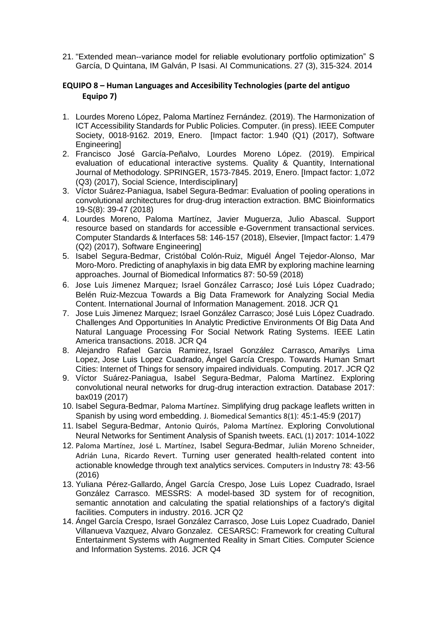21. "Extended mean--variance model for reliable evolutionary portfolio optimization" S García, D Quintana, IM Galván, P Isasi. AI Communications. 27 (3), 315-324. 2014

## **EQUIPO 8 – Human Languages and Accesibility Technologies (parte del antiguo Equipo 7)**

- 1. Lourdes Moreno López, Paloma Martínez Fernández. (2019). The Harmonization of ICT Accessibility Standards for Public Policies. Computer. (in press). IEEE Computer Society, 0018-9162. 2019, Enero. [Impact factor: 1.940 (Q1) (2017), Software Engineering]
- 2. Francisco José García-Peñalvo, Lourdes Moreno López. (2019). Empirical evaluation of educational interactive systems. Quality & Quantity, International Journal of Methodology. SPRINGER, 1573-7845. 2019, Enero. [Impact factor: 1,072 (Q3) (2017), Social Science, Interdisciplinary]
- 3. [Víctor Suárez-Paniagua,](https://dblp.org/pers/hd/s/Su=aacute=rez=Paniagua:V=iacute=ctor) Isabel Segura-Bedmar: Evaluation of pooling operations in convolutional architectures for drug-drug interaction extraction. [BMC Bioinformatics](https://dblp.org/db/journals/bmcbi/bmcbi19S.html#Suarez-Paniagua18)  [19-S\(8\):](https://dblp.org/db/journals/bmcbi/bmcbi19S.html#Suarez-Paniagua18) 39-47 (2018)
- 4. Lourdes Moreno, Paloma Martínez, Javier Muguerza, Julio Abascal. Support resource based on standards for accessible e-Government transactional services. Computer Standards & Interfaces 58: 146-157 (2018), Elsevier, [Impact factor: 1.479 (Q2) (2017), Software Engineering]
- 5. Isabel Segura-Bedmar, [Cristóbal Colón-Ruiz,](https://dblp.org/pers/hd/c/Col=oacute=n=Ruiz:Crist=oacute=bal) [Miguél Ángel Tejedor-Alonso,](https://dblp.org/pers/hd/t/Tejedor=Alonso:Migu=eacute=l_=Aacute=ngel) [Mar](https://dblp.org/pers/hd/m/Moro=Moro:Mar)  [Moro-Moro.](https://dblp.org/pers/hd/m/Moro=Moro:Mar) Predicting of anaphylaxis in big data EMR by exploring machine learning approaches. [Journal of Biomedical Informatics 87:](https://dblp.org/db/journals/jbi/jbi87.html#Segura-BedmarCT18) 50-59 (2018)
- 6. Jose Luis Jimenez Marquez; Israel González Carrasco; José Luis López Cuadrado; Belén Ruiz-Mezcua Towards a Big Data Framework for Analyzing Social Media Content. International Journal of Information Management. 2018. JCR Q1
- 7. Jose Luis Jimenez Marquez; Israel González Carrasco; José Luis López Cuadrado. Challenges And Opportunities In Analytic Predictive Environments Of Big Data And Natural Language Processing For Social Network Rating Systems. IEEE Latin America transactions. 2018. JCR Q4
- 8. Alejandro Rafael Garcia Ramirez, Israel González Carrasco, Amarilys Lima Lopez, Jose Luis Lopez Cuadrado, Ángel García Crespo. Towards Human Smart Cities: Internet of Things for sensory impaired individuals. Computing. 2017. JCR Q2
- 9. [Víctor Suárez-Paniagua,](https://dblp.org/pers/hd/s/Su=aacute=rez=Paniagua:V=iacute=ctor) Isabel Segura-Bedmar, [Paloma Martínez.](https://dblp.org/pers/hd/m/Mart=iacute=nez:Paloma) Exploring convolutional neural networks for drug-drug interaction extraction. [Database 2017:](https://dblp.org/db/journals/biodb/biodb2017.html#Suarez-Paniagua17) bax019 (2017)
- 10. Isabel Segura-Bedmar, [Paloma Martínez](https://dblp.org/pers/hd/m/Mart=iacute=nez:Paloma). Simplifying drug package leaflets written in Spanish by using word embedding. [J. Biomedical Semantics 8\(1\)](https://dblp.org/db/journals/biomedsem/biomedsem8.html#Segura-BedmarM17): 45:1-45:9 (2017)
- 11. Isabel Segura-Bedmar, [Antonio Quirós](https://dblp.org/pers/hd/q/Quir=oacute=s:Antonio), [Paloma Martínez](https://dblp.org/pers/hd/m/Mart=iacute=nez:Paloma). Exploring Convolutional Neural Networks for Sentiment Analysis of Spanish tweets. [EACL \(1\) 2017](https://dblp.org/db/conf/eacl/eacl2017-1.html#Segura-BedmarQM17): 1014-1022
- 12. [Paloma Martínez](https://dblp.org/pers/hd/m/Mart=iacute=nez:Paloma), [José L. Martínez](https://dblp.org/pers/hd/m/Mart=iacute=nez:Jos=eacute=_L=), Isabel Segura-Bedmar, [Julián Moreno Schneider](https://dblp.org/pers/hd/s/Schneider:Juli=aacute=n_Moreno), [Adrián Luna](https://dblp.org/pers/hd/l/Luna:Adri=aacute=n), [Ricardo Revert](https://dblp.org/pers/hd/r/Revert:Ricardo). Turning user generated health-related content into actionable knowledge through text analytics services. [Computers in Industry 78](https://dblp.org/db/journals/cii/cii78.html#MartinezMSSLR16): 43-56 (2016)
- 13. Yuliana Pérez-Gallardo, Ángel García Crespo, Jose Luis Lopez Cuadrado, Israel González Carrasco. MESSRS: A model-based 3D system for of recognition, semantic annotation and calculating the spatial relationships of a factory's digital facilities. Computers in industry. 2016. JCR Q2
- 14. Ángel García Crespo, Israel González Carrasco, Jose Luis Lopez Cuadrado, Daniel Villanueva Vazquez, Alvaro Gonzalez. CESARSC: Framework for creating Cultural Entertainment Systems with Augmented Reality in Smart Cities. Computer Science and Information Systems. 2016. JCR Q4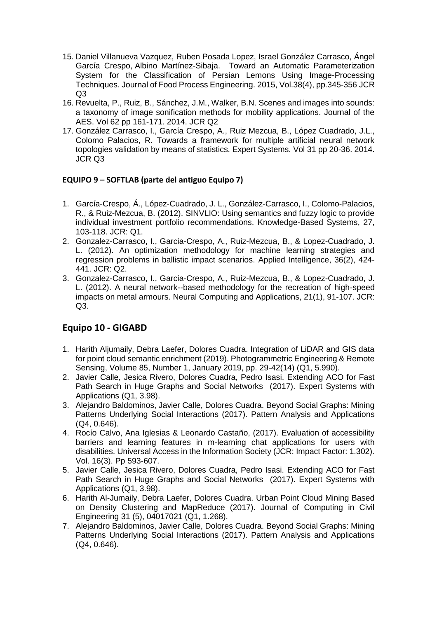- 15. Daniel Villanueva Vazquez, Ruben Posada Lopez, Israel González Carrasco, Ángel García Crespo, Albino Martínez-Sibaja. Toward an Automatic Parameterization System for the Classification of Persian Lemons Using Image-Processing Techniques. Journal of Food Process Engineering. 2015, Vol.38(4), pp.345-356 JCR Q3
- 16. Revuelta, P., Ruiz, B., Sánchez, J.M., Walker, B.N. Scenes and images into sounds: a taxonomy of image sonification methods for mobility applications. Journal of the AES. Vol 62 pp 161-171. 2014. JCR Q2
- 17. González Carrasco, I., García Crespo, A., Ruiz Mezcua, B., López Cuadrado, J.L., Colomo Palacios, R. Towards a framework for multiple artificial neural network topologies validation by means of statistics. Expert Systems. Vol 31 pp 20-36. 2014. JCR Q3

## **EQUIPO 9 – SOFTLAB (parte del antiguo Equipo 7)**

- 1. García-Crespo, Á., López-Cuadrado, J. L., González-Carrasco, I., Colomo-Palacios, R., & Ruiz-Mezcua, B. (2012). SINVLIO: Using semantics and fuzzy logic to provide individual investment portfolio recommendations. Knowledge-Based Systems, 27, 103-118. JCR: Q1.
- 2. Gonzalez-Carrasco, I., Garcia-Crespo, A., Ruiz-Mezcua, B., & Lopez-Cuadrado, J. L. (2012). An optimization methodology for machine learning strategies and regression problems in ballistic impact scenarios. Applied Intelligence, 36(2), 424- 441. JCR: Q2.
- 3. Gonzalez-Carrasco, I., Garcia-Crespo, A., Ruiz-Mezcua, B., & Lopez-Cuadrado, J. L. (2012). A neural network--based methodology for the recreation of high-speed impacts on metal armours. Neural Computing and Applications, 21(1), 91-107. JCR: Q3.

## **Equipo 10 - GIGABD**

- 1. Harith Aljumaily, Debra Laefer, Dolores Cuadra. Integration of LiDAR and GIS data for point cloud semantic enrichment (2019). Photogrammetric Engineering & Remote Sensing, Volume 85, Number 1, January 2019, pp. 29-42(14) (Q1, 5.990).
- 2. Javier Calle, Jesica Rivero, Dolores Cuadra, Pedro Isasi. Extending ACO for Fast Path Search in Huge Graphs and Social Networks (2017). Expert Systems with Applications (Q1, 3.98).
- 3. Alejandro Baldominos, Javier Calle, Dolores Cuadra. Beyond Social Graphs: Mining Patterns Underlying Social Interactions (2017). Pattern Analysis and Applications (Q4, 0.646).
- 4. Rocío Calvo, Ana Iglesias & Leonardo Castaño, (2017). Evaluation of accessibility barriers and learning features in m-learning chat applications for users with disabilities. Universal Access in the Information Society (JCR: Impact Factor: 1.302). Vol. 16(3). Pp 593-607.
- 5. Javier Calle, Jesica Rivero, Dolores Cuadra, Pedro Isasi. Extending ACO for Fast Path Search in Huge Graphs and Social Networks (2017). Expert Systems with Applications (Q1, 3.98).
- 6. Harith Al-Jumaily, Debra Laefer, Dolores Cuadra. Urban Point Cloud Mining Based on Density Clustering and MapReduce (2017). Journal of Computing in Civil Engineering 31 (5), 04017021 (Q1, 1.268).
- 7. Alejandro Baldominos, Javier Calle, Dolores Cuadra. Beyond Social Graphs: Mining Patterns Underlying Social Interactions (2017). Pattern Analysis and Applications (Q4, 0.646).